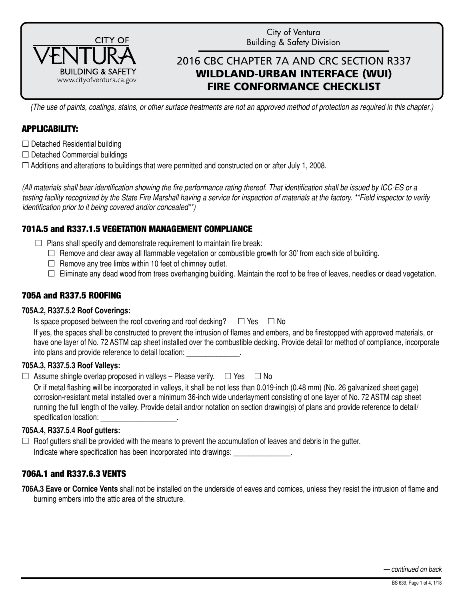

City of Ventura **Building & Safety Division** 

# 2016 CBC CHAPTER 7A AND CRC SECTION R337 WILDLAND-URBAN INTERFACE (WUI) FIRE CONFORMANCE CHECKLIST

*(The use of paints, coatings, stains, or other surface treatments are not an approved method of protection as required in this chapter.)*

# APPLICABILITY:

- $\Box$  Detached Residential building
- $\Box$  Detached Commercial buildings

 $\Box$  Additions and alterations to buildings that were permitted and constructed on or after July 1, 2008.

*(All materials shall bear identification showing the fire performance rating thereof. That identification shall be issued by ICC-ES or a testing facility recognized by the State Fire Marshall having a service for inspection of materials at the factory. \*\*Field inspector to verify identification prior to it being covered and/or concealed\*\*)*

# 701A.5 and R337.1.5 VEGETATION MANAGEMENT COMPLIANCE

- $\Box$  Plans shall specify and demonstrate requirement to maintain fire break:
	- $\Box$  Remove and clear away all flammable vegetation or combustible growth for 30' from each side of building.
	- $\Box$  Remove any tree limbs within 10 feet of chimney outlet.
	- $\Box$  Eliminate any dead wood from trees overhanging building. Maintain the roof to be free of leaves, needles or dead vegetation.

# 705A and R337.5 ROOFING

#### **705A.2, R337.5.2 Roof Coverings:**

| Is space proposed between the roof covering and roof decking? |  | □ Yes □ No |  |
|---------------------------------------------------------------|--|------------|--|
|---------------------------------------------------------------|--|------------|--|

If yes, the spaces shall be constructed to prevent the intrusion of flames and embers, and be firestopped with approved materials, or have one layer of No. 72 ASTM cap sheet installed over the combustible decking. Provide detail for method of compliance, incorporate into plans and provide reference to detail location: \_\_\_\_\_\_\_\_\_\_\_\_\_\_.

### **705A.3, R337.5.3 Roof Valleys:**

 $\Box$  Assume shingle overlap proposed in valleys – Please verify.  $\Box$  Yes  $\Box$  No

Or if metal flashing will be incorporated in valleys, it shall be not less than 0.019-inch (0.48 mm) (No. 26 galvanized sheet gage) corrosion-resistant metal installed over a minimum 36-inch wide underlayment consisting of one layer of No. 72 ASTM cap sheet running the full length of the valley. Provide detail and/or notation on section drawing(s) of plans and provide reference to detail/ specification location:

### **705A.4, R337.5.4 Roof gutters:**

 $\Box$  Roof gutters shall be provided with the means to prevent the accumulation of leaves and debris in the gutter. Indicate where specification has been incorporated into drawings:

### 706A.1 and R337.6.3 VENTS

**706A.3 Eave or Cornice Vents** shall not be installed on the underside of eaves and cornices, unless they resist the intrusion of flame and burning embers into the attic area of the structure.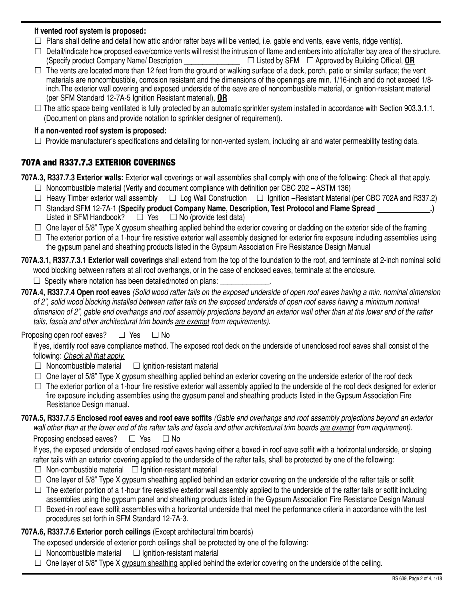### **If vented roof system is proposed:**

- $\Box$  Plans shall define and detail how attic and/or rafter bays will be vented, i.e. gable end vents, eave vents, ridge vent(s).
- $\Box$  Detail/indicate how proposed eave/cornice vents will resist the intrusion of flame and embers into attic/rafter bay area of the structure. (Specify product Company Name/ Description \_\_\_\_\_\_\_\_\_\_\_\_\_\_\_ Listed by SFM Approved by Building Official, **OR**
- $\Box$  The vents are located more than 12 feet from the ground or walking surface of a deck, porch, patio or similar surface; the vent materials are noncombustible, corrosion resistant and the dimensions of the openings are min. 1/16-inch and do not exceed 1/8 inch.The exterior wall covering and exposed underside of the eave are of noncombustible material, or ignition-resistant material (per SFM Standard 12-7A-5 Ignition Resistant material), **OR**
- $\Box$  The attic space being ventilated is fully protected by an automatic sprinkler system installed in accordance with Section 903.3.1.1. (Document on plans and provide notation to sprinkler designer of requirement).

#### **If a non-vented roof system is proposed:**

 $\Box$  Provide manufacturer's specifications and detailing for non-vented system, including air and water permeability testing data.

### 707A and R337.7.3 EXTERIOR COVERINGS

**707A.3, R337.7.3 Exterior walls:** Exterior wall coverings or wall assemblies shall comply with one of the following: Check all that apply.

- $\Box$  Noncombustible material (Verify and document compliance with definition per CBC 202 ASTM 136)
- $\Box$  Heavy Timber exterior wall assembly  $\Box$  Log Wall Construction  $\Box$  Ignition –Resistant Material (per CBC 702A and R337.2)
- □ Standard SFM 12-7A-1 **(Specify product Company Name, Description, Test Protocol and Flame Spread \_\_\_\_\_\_\_\_\_\_\_\_\_.)**<br>Listed in SFM Handbook? □ Yes □ No (provide test data) Listed in SFM Handbook?
- $\Box$  One layer of 5/8" Type X gypsum sheathing applied behind the exterior covering or cladding on the exterior side of the framing
- $\Box$  The exterior portion of a 1-hour fire resistive exterior wall assembly designed for exterior fire exposure including assemblies using the gypsum panel and sheathing products listed in the Gypsum Association Fire Resistance Design Manual
- **707A.3.1, R337.7.3.1 Exterior wall coverings** shall extend from the top of the foundation to the roof, and terminate at 2-inch nominal solid wood blocking between rafters at all roof overhangs, or in the case of enclosed eaves, terminate at the enclosure.
	- $\Box$  Specify where notation has been detailed/noted on plans:
- **707A.4, R337.7.4 Open roof eaves** *(Solid wood rafter tails on the exposed underside of open roof eaves having a min. nominal dimension of 2", solid wood blocking installed between rafter tails on the exposed underside of open roof eaves having a minimum nominal dimension of 2", gable end overhangs and roof assembly projections beyond an exterior wall other than at the lower end of the rafter tails, fascia and other architectural trim boards are exempt from requirements).*

### Proposing open roof eaves?  $\Box$  Yes  $\Box$  No

If yes, identify roof eave compliance method. The exposed roof deck on the underside of unenclosed roof eaves shall consist of the following: *Check all that apply.*

- $\Box$  Noncombustible material  $\Box$  Ignition-resistant material
- $\Box$  One layer of 5/8" Type X gypsum sheathing applied behind an exterior covering on the underside exterior of the roof deck
- $\Box$  The exterior portion of a 1-hour fire resistive exterior wall assembly applied to the underside of the roof deck designed for exterior fire exposure including assemblies using the gypsum panel and sheathing products listed in the Gypsum Association Fire Resistance Design manual.
- **707A.5, R337.7.5 Enclosed roof eaves and roof eave soffits** *(Gable end overhangs and roof assembly projections beyond an exterior wall other than at the lower end of the rafter tails and fascia and other architectural trim boards are exempt from requirement).*

Proposing enclosed eaves?  $\Box$  Yes  $\Box$  No

If yes, the exposed underside of enclosed roof eaves having either a boxed-in roof eave soffit with a horizontal underside, or sloping rafter tails with an exterior covering applied to the underside of the rafter tails, shall be protected by one of the following:

- $\Box$  Non-combustible material  $\Box$  Ignition-resistant material
- $\Box$  One layer of 5/8" Type X gypsum sheathing applied behind an exterior covering on the underside of the rafter tails or soffit
- $\Box$  The exterior portion of a 1-hour fire resistive exterior wall assembly applied to the underside of the rafter tails or soffit including assemblies using the gypsum panel and sheathing products listed in the Gypsum Association Fire Resistance Design Manual
- $\Box$  Boxed-in roof eave soffit assemblies with a horizontal underside that meet the performance criteria in accordance with the test procedures set forth in SFM Standard 12-7A-3.

## **707A.6, R337.7.6 Exterior porch ceilings** (Except architectural trim boards)

The exposed underside of exterior porch ceilings shall be protected by one of the following:

- $\Box$  Noncombustible material  $\Box$  Ignition-resistant material
- $\Box$  One layer of 5/8" Type X gypsum sheathing applied behind the exterior covering on the underside of the ceiling.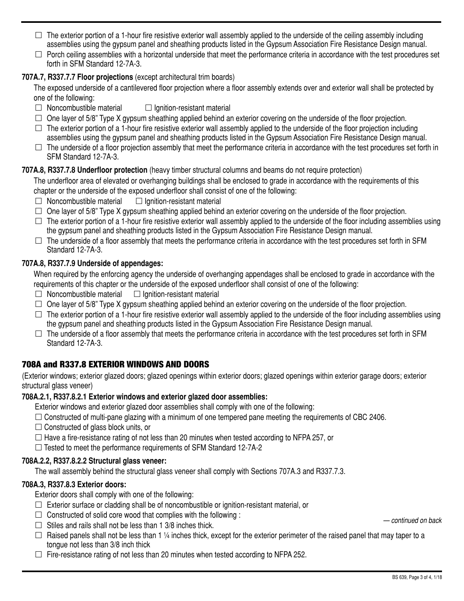- $\Box$  The exterior portion of a 1-hour fire resistive exterior wall assembly applied to the underside of the ceiling assembly including assemblies using the gypsum panel and sheathing products listed in the Gypsum Association Fire Resistance Design manual.
- $\Box$  Porch ceiling assemblies with a horizontal underside that meet the performance criteria in accordance with the test procedures set forth in SFM Standard 12-7A-3.

## **707A.7, R337.7.7 Floor projections** (except architectural trim boards)

The exposed underside of a cantilevered floor projection where a floor assembly extends over and exterior wall shall be protected by one of the following:

- $\Box$  Noncombustible material  $\Box$  Ignition-resistant material
- $\Box$  One layer of 5/8" Type X gypsum sheathing applied behind an exterior covering on the underside of the floor projection.
- $\Box$  The exterior portion of a 1-hour fire resistive exterior wall assembly applied to the underside of the floor projection including assemblies using the gypsum panel and sheathing products listed in the Gypsum Association Fire Resistance Design manual.
- $\Box$  The underside of a floor projection assembly that meet the performance criteria in accordance with the test procedures set forth in SFM Standard 12-7A-3.

### **707A.8, R337.7.8 Underfloor protection** (heavy timber structural columns and beams do not require protection)

The underfloor area of elevated or overhanging buildings shall be enclosed to grade in accordance with the requirements of this chapter or the underside of the exposed underfloor shall consist of one of the following:

- $\Box$  Noncombustible material  $\Box$  Ignition-resistant material
- $\Box$  One layer of 5/8" Type X gypsum sheathing applied behind an exterior covering on the underside of the floor projection.
- $\Box$  The exterior portion of a 1-hour fire resistive exterior wall assembly applied to the underside of the floor including assemblies using the gypsum panel and sheathing products listed in the Gypsum Association Fire Resistance Design manual.
- $\Box$  The underside of a floor assembly that meets the performance criteria in accordance with the test procedures set forth in SFM Standard 12-7A-3.

### **707A.8, R337.7.9 Underside of appendages:**

When required by the enforcing agency the underside of overhanging appendages shall be enclosed to grade in accordance with the requirements of this chapter or the underside of the exposed underfloor shall consist of one of the following:

- $\Box$  Noncombustible material  $\Box$  Ignition-resistant material
- $\Box$  One layer of 5/8" Type X gypsum sheathing applied behind an exterior covering on the underside of the floor projection.
- $\Box$  The exterior portion of a 1-hour fire resistive exterior wall assembly applied to the underside of the floor including assemblies using the gypsum panel and sheathing products listed in the Gypsum Association Fire Resistance Design manual.
- $\Box$  The underside of a floor assembly that meets the performance criteria in accordance with the test procedures set forth in SFM Standard 12-7A-3.

# 708A and R337.8 EXTERIOR WINDOWS AND DOORS

(Exterior windows; exterior glazed doors; glazed openings within exterior doors; glazed openings within exterior garage doors; exterior structural glass veneer)

#### **708A.2.1, R337.8.2.1 Exterior windows and exterior glazed door assemblies:**

Exterior windows and exterior glazed door assemblies shall comply with one of the following:

- $\Box$  Constructed of multi-pane glazing with a minimum of one tempered pane meeting the requirements of CBC 2406.
- $\Box$  Constructed of glass block units, or
- $\Box$  Have a fire-resistance rating of not less than 20 minutes when tested according to NFPA 257, or

 $\Box$  Tested to meet the performance requirements of SFM Standard 12-7A-2

#### **708A.2.2, R337.8.2.2 Structural glass veneer:**

The wall assembly behind the structural glass veneer shall comply with Sections 707A.3 and R337.7.3.

### **708A.3, R337.8.3 Exterior doors:**

Exterior doors shall comply with one of the following:

- $\Box$  Exterior surface or cladding shall be of noncombustible or ignition-resistant material, or
- $\Box$  Constructed of solid core wood that complies with the following :
- $\Box$  Stiles and rails shall not be less than 1 3/8 inches thick.
- $\Box$  Raised panels shall not be less than 1 ¼ inches thick, except for the exterior perimeter of the raised panel that may taper to a tongue not less than 3/8 inch thick
- $\Box$  Fire-resistance rating of not less than 20 minutes when tested according to NFPA 252.

*— continued on back*